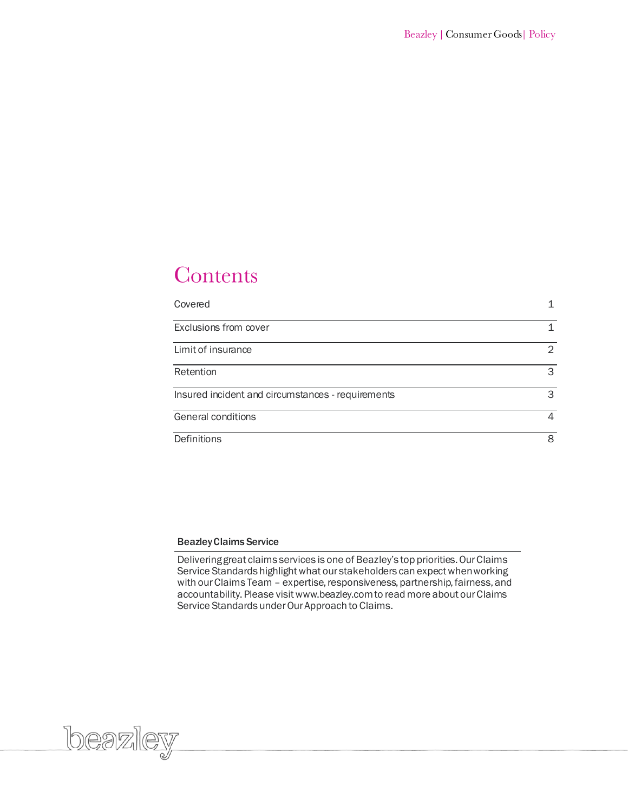# Contents

| Covered                                           |               |
|---------------------------------------------------|---------------|
| Exclusions from cover                             |               |
| Limit of insurance                                | $\mathcal{L}$ |
| Retention                                         | 3             |
| Insured incident and circumstances - requirements | 3             |
| General conditions                                | 4             |
| Definitions                                       | 8             |

# BeazleyClaims Service

Delivering great claims services is one of Beazley's top priorities. Our Claims Service Standards highlight what our stakeholders can expect when working with our Claims Team – expertise, responsiveness, partnership, fairness, and accountability. Please visit www.beazley.com to read more about our Claims Service Standards under Our Approach to Claims.

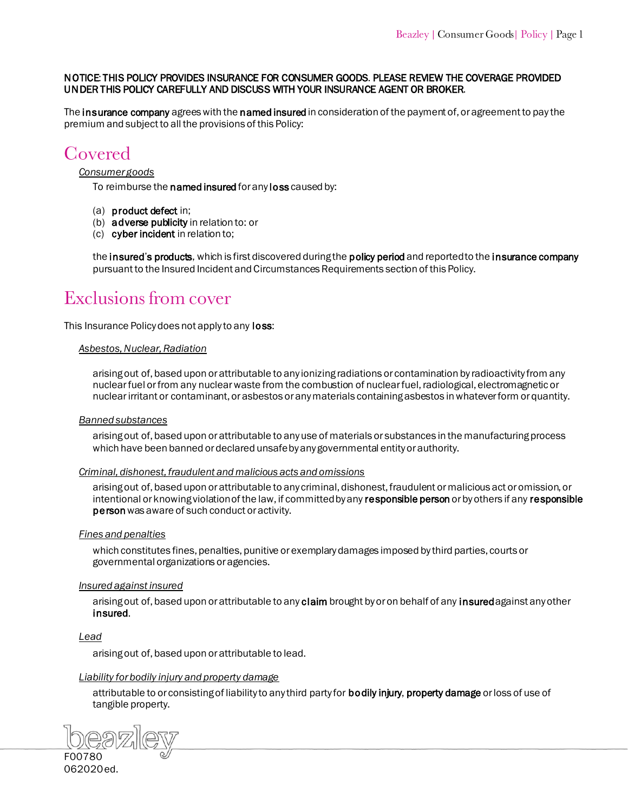# NOTICE: THIS POLICY PROVIDES INSURANCE FOR CONSUMER GOODS. PLEASE REVIEW THE COVERAGE PROVIDED UNDER THIS POLICY CAREFULLY AND DISCUSS WITH YOUR INSURANCE AGENT OR BROKER.

The [insurance company a](#page-9-5)grees with th[e named insured](#page-10-6) in consideration of the payment of, or agreement to pay the premium and subject to all the provisions of this Policy:

# Covered

# *Consumer goods*

To reimburse the [named insured](#page-10-0) for any [loss](#page-9-0) caused by:

- (a) [product defect in](#page-10-1);
- (b) [adverse publicity](#page-8-0) in relation to: or
- (c) [cyber incident i](#page-8-1)n relation to;

the insured'[s products, w](#page-9-1)hich is first discovered during the [policy period](#page-10-2) and reported to the insurance company pursuant to the Insured Incident and Circumstances Requirements section of this Policy.

# Exclusions from cover

This Insurance Policy does not apply to any [loss:](#page-9-0)

# *Asbestos, Nuclear, Radiation*

arising out of, based upon or attributable to any ionizing radiations or contamination by radioactivity from any nuclear fuel or from any nuclear waste from the combustion of nuclear fuel, radiological, electromagnetic or nuclear irritant or contaminant, or asbestos or any materials containing asbestos in whatever form or quantity.

# *Banned substances*

arising out of, based upon or attributable to any use of materials or substances in the manufacturing process which have been banned or declared unsafe by any governmental entity or authority.

#### *Criminal, dishonest, fraudulent and malicious acts and omissions*

arising out of, based upon or attributable to any criminal, dishonest, fraudulent or malicious act or omission, or intentional or knowing violation of the law, if committed by any [responsible person](#page-10-3) or by others if any responsible [person w](#page-10-4)as aware of such conduct or activity.

# *Fines and penalties*

which constitutes fines, penalties, punitive or exemplary damages imposed by third parties, courts or governmental organizations or agencies.

# *Insured against insured*

arising out of, based upon or attributable to an[y claim b](#page-8-2)rought by or on behalf of any insured against any other [insured.](#page-9-4)

# *Lead*

arising out of, based upon or attributable to lead.

# *Liability for bodily injury and property damage*

attributable to or consisting of liability to any third party fo[r bodily injury,](#page-8-3) [property damage o](#page-10-5)r loss of use of tangible property.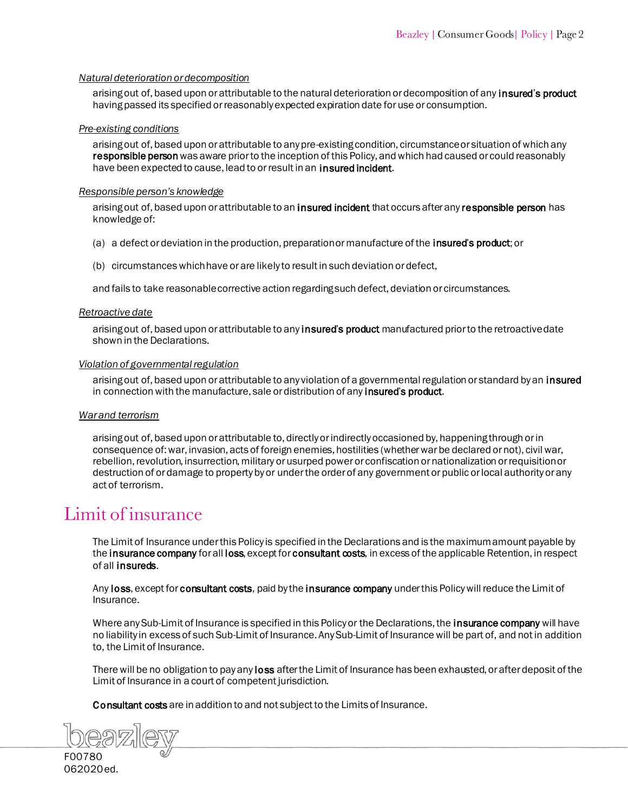# *Natural deterioration or decomposition*

arising out of, based upon or attributable to the natural deterioration or decomposition of any insured's product having passed its specified or reasonably expected expiration date for use or consumption.

#### *Pre-existing conditions*

arising out of, based upon or attributable to any pre-existing condition, circumstance or situation of which any responsible person was aware prior to the inception of this Policy, and which had caused or could reasonably have been expected to cause, lead to or result in an **insured incident.** 

#### *Responsible person's knowledge*

arising out of, based upon or attributable to a[n insured incident th](#page-9-7)at occurs after [any responsible person ha](#page-10-4)s knowledge of:

- (a) a defect or deviation in the production, preparation or manufacture of the insured'[s product; o](#page-9-1)r
- (b) circumstances which have or are likely to result in such deviation or defect,

and fails to take reasonable corrective action regarding such defect, deviation or circumstances.

#### *Retroactive date*

arising out of, based upon or attributable to any insured'[s product ma](#page-9-6)nufactured prior to the retroactive date shown in the Declarations.

#### *Violation of governmental regulation*

arising out of, based upon or attributable to any violation of a governmental regulation or standard by an insured in connection with the manufacture, sale or distribution of any insured's product.

# *War and terrorism*

arising out of, based upon or attributable to, directly or indirectly occasioned by, happening through or in consequence of: war, invasion, acts of foreign enemies, hostilities (whether war be declared or not), civil war, rebellion, revolution, insurrection, military or usurped power or confiscation or nationalization or requisition or destruction of or damage to property by or under the order of any government or public or local authority or any act of terrorism.

# <span id="page-2-1"></span><span id="page-2-0"></span>Limit of insurance

The Limit of Insurance under this Policy is specified in the Declarations and is the maximum amount payable by the i[nsurance company f](#page-9-8)or [all loss, e](#page-9-9)xcept for [consultant costs, in](#page-8-4) excess of the applicable Retention, in respect of all insureds.

An[y loss, e](#page-9-9)xcept for [consultant costs,](#page-8-4) paid by th[e insurance company u](#page-9-8)nder this Policy will reduce the Limit of Insurance.

Where any Sub-Limit of Insurance is specified in this Policy or the Declarations, th[e insurance company w](#page-9-8)ill have no liability in excess of such Sub-Limit of Insurance. Any Sub-Limit of Insurance will be part of, and not in addition to, the Limit of Insurance.

There will be no obligation to pay any loss after the Limit of Insurance has been exhausted, or after deposit of the Limit of Insurance in a court of co[mpetent ju](#page-9-9)risdiction.

[Consultant costs](#page-8-4) are in addition to and not subject to the Limits of Insurance.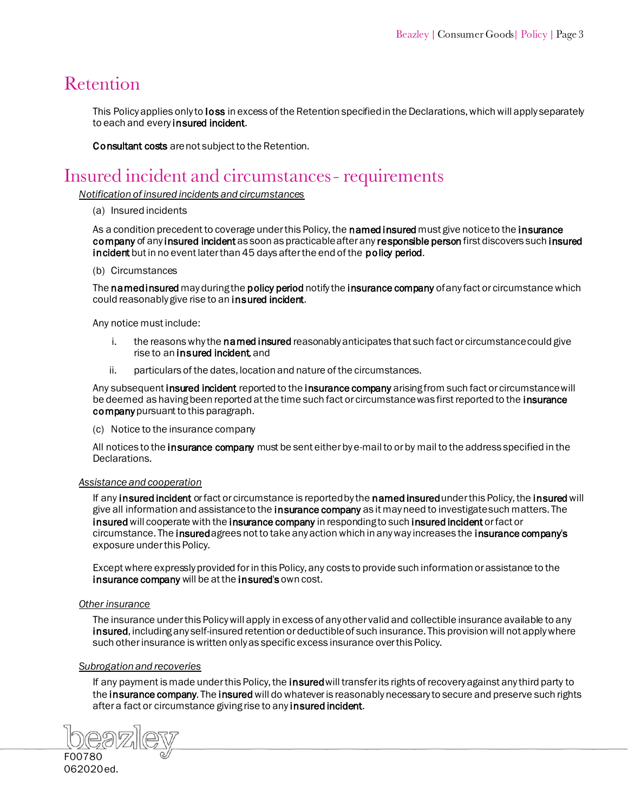# Retention

This Policy applies only to **loss** in excess of the Retention specified in the Declarations, which will apply separately to each and every insured incident.

[Consultant costs a](#page-8-4)re not subject to the Retention.

# <span id="page-3-0"></span>Insured incident and circumstances - requirements

*Notification of insured incidents and circumstances*

#### (a) Insured incidents

As a condition precedent to coverage under this Policy, th[e named](#page-10-7) insured must give notice to the insurance [company o](#page-9-8)f any [insured incident](#page-9-10) as soon as practicable after an[y responsible person](#page-10-8) first discovers such insured [incident](#page-9-10) but in no event later than 45 days after the end of the policy period.

#### (b) Circumstances

The named insured may during th[e policy period](#page-10-9) notify th[e insurance company o](#page-9-8)f any fact or circumstance which could reasonably give rise to an [insured incident.](#page-9-10)

Any notice must include:

- i. the reasons why the **named insured** reasonably anticipates that such fact or circumstance could give rise to an insured incident and
- ii. particulars of the dates, location and nature of the circumstances.

Any subsequen[t insured incident r](#page-9-11)eported to th[e insurance company a](#page-9-8)rising from such fact or circumstance will be deemed as having been reported at the time such fact or circumstance was first reported to the insurance company pursuant to this paragraph.

(c) Notice to the insurance company

All notices to th[e insurance company m](#page-9-8)ust be sent either by e-mail to or by mail to the address specified in the Declarations.

# *Assistance and cooperation*

If an[y insured incident o](#page-9-11)r fact or circumstance is reported by the named insured under this Policy, the insured will give all information and assistance to the **insurance company** as it may need to investigate such matters. The insured will cooperate with th[e insurance company in respondi](#page-9-8)ng to such [insured incident](#page-9-10) or fact or circumstance. The insured agrees not to take any action which in any way increases the [insurance company's](#page-9-8) exposure under this Policy.

Except where expressly provided for in this Policy, any costs to provide such information or assistance to the [insurance company w](#page-9-14)ill be at th[e insured's](#page-9-15) own cost.

# *Other insurance*

The insurance under this Policy will apply in excess of any other valid and collectible insurance available to any [insured, incl](#page-9-16)uding any self-insured retention or deductible of such insurance. This provision will not apply where such other insurance is written only as specific excess insurance over this Policy.

# *Subrogation and recoveries*

If any payment is made und[er this Policy, the insured](#page-9-17) will transfer its rights of recovery against any third party to the [insurance company. T](#page-9-8)he insured will do whatever is reasonably necessary to secure and preserve such rights after a fact or circumstance giving rise to any insured incident.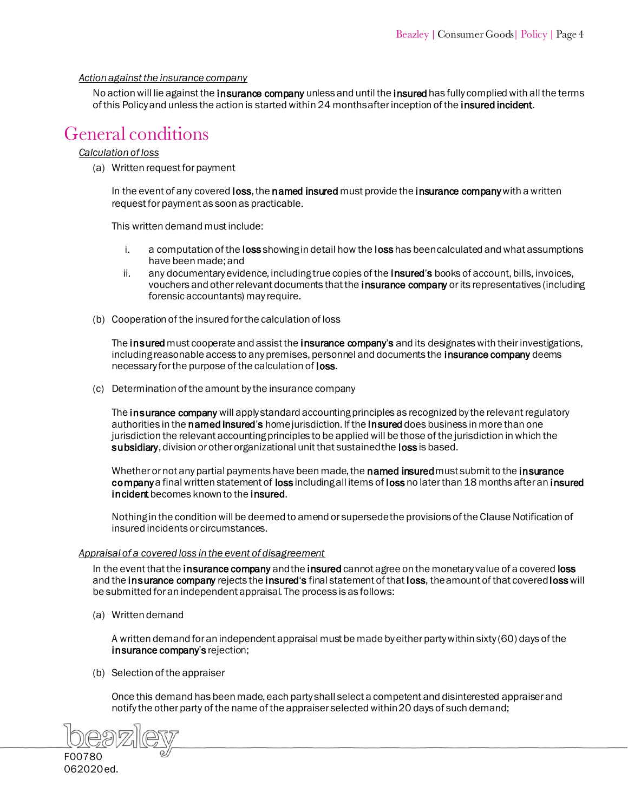# *Action against the insurance company*

No action will lie against [the insurance company un](#page-9-8)less and until the insured has fully complied with all the terms of this Policy and unless the action is started within 24 months after [inception](#page-9-12) of th[e insured incident.](#page-9-11)

# <span id="page-4-0"></span>**General** conditions

#### *Calculation of loss*

(a) Written request for payment

In the event of any covere[d loss, the](#page-9-9) [named insured](#page-10-7) must provide the insurance company with a written request for payment as soon as practicable.

This written demand must include:

- i. a computation of [the loss](#page-9-9) showing in detail how the loss has been calculated and what assumptions have been made; and
- ii. any documentary evidence, including true copies of the **insured's** books of account, bills, invoices, vouchers and other relevant documents that the *insurance company* or its representatives (including forensic accountants) may require.
- (b) Cooperation of the insured for the calculation of loss

T[he insured](#page-9-17) must cooperate and assist the [insurance company](#page-9-14)'s and its designates with their investigations, including reasonable access to any premises, personnel and documents the [insurance company](#page-9-8) deems necessary for the purpose of the calculation o[f loss.](#page-9-9) 

(c) Determination of the amount by the insurance company

The [insurance company](#page-9-20) will apply standard accounting principles as recognized by the relevant regulatory authorities in the [named insured](#page-10-6)'s home jurisdiction. If the [insured](#page-9-13) does business in more than one jurisdiction the relevant accounting principles to be applied will be those of the jurisdiction in which the [subsidiary, d](#page-10-10)ivision or other organizational unit that sustained th[e loss](#page-9-9) is based.

Whether or not any partial payments have been made, the **named insured** must submit to the **insurance** [company](#page-9-22) a final written statement [of loss](#page-9-9) including all items o[f loss](#page-9-9) no later than 18 months after an insured [incident](#page-9-25) becomes known to th[e insured.](#page-9-21) 

Nothing in the condition will be deemed to amend or supersede the provisions of the Clause Notification of insured incidents or circumstances.

# *Appraisal of a covered loss in the event of disagreement*

In the [event that the insurance compan](#page-9-22)[y and the insured c](#page-9-23)annot agree on the monetary value of a covered loss and the insurance company rejects the insured's final statement of that [loss,](#page-9-24) the amount of that cover[ed loss will](#page-9-9) be submitted for an independent appraisal. The process is as follows:

(a) Written demand

A written demand for an independent appraisal must be made by either party within sixty (60) days of the [insurance company](#page-9-22)'s rejection;

(b) Selection of the appraiser

Once this demand has been made, each party shall select a competent and disinterested appraiser and notify the other party of the name of the appraiser selected within 20 days of such demand;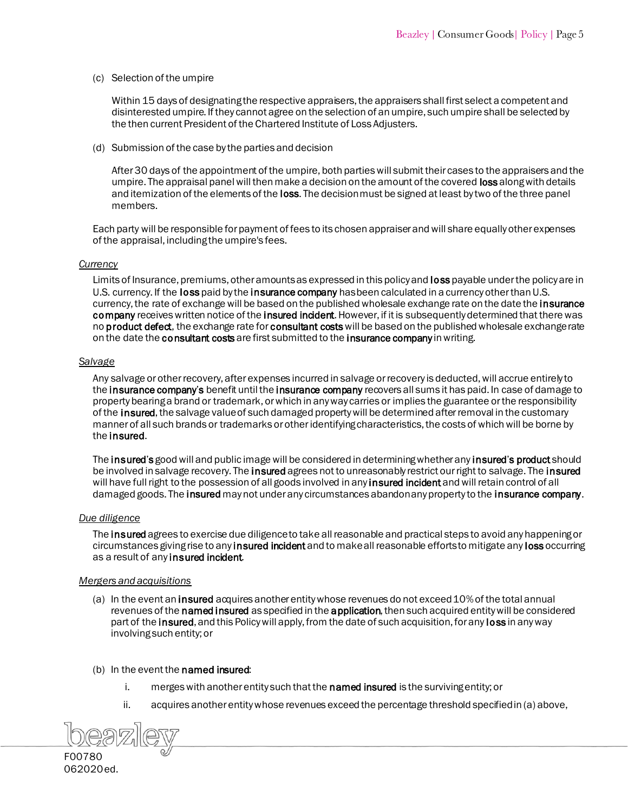(c) Selection of the umpire

Within 15 days of designating the respective appraisers, the appraisers shall first select a competent and disinterested umpire. If they cannot agree on the selection of an umpire, such umpire shall be selected by the then current President of the Chartered Institute of Loss Adjusters.

(d) Submission of the case by the parties and decision

After 30 days of the appointment of the umpire, both parties will submit their cases to the appraisers and the umpire. The appraisal panel will then make a decision on the amount of the covered **loss** along with details and itemization of the elements of the [loss. The decision must be signed at least by two of](#page-9-24) the three panel members.

Each party will be responsible for payment of fees to its chosen appraiser and will share equally other expenses of the appraisal, including the umpire's fees.

#### *Currency*

Limits of Insurance, premiums, other amounts as expressed in this policy an[d loss](#page-9-24) payable under the policy are in U.S. currency. If the [loss](#page-9-24) paid by th[e insurance company h](#page-9-22)as been calculated in a currency other than U.S. currency, the rate of exchange will be based on the published wholesale exchange rate on the date the insurance [company](#page-9-22) receives written notice of the [insured incident.](#page-9-25) However, if it is subsequently determined that there was n[o product defect,](#page-10-11) the exchange rate for consultant costs will be based on the published wholesale exchange rate on the date the [consultant costs](#page-8-5) are first submitted to th[e insurance company](#page-9-22) in writing.

#### *Salvage*

Any salvage or other recovery, after expenses incurred in salvage or recovery is deducted, will accrue entirely to the insurance company'[s benefit until the insurance company r](#page-9-22)ecovers all sums it has paid. In case of damage to property bearing a brand or trademark, or which in any way carries or implies the guarantee or the responsibility of [the insured, t](#page-9-26)he salvage value of such damaged property will be determined after removal in the customary manner of all such brands or trademarks or other identifying characteristics, the costs of which will be borne by the insured.

The insured's good will and public image will be considered in determining whether any insured'[s product](#page-9-28) should be involved in salvage recovery. The **insured** agrees not to unreasonably restrict our right to salvage. The **insured** wil[l have full right to the possession of all goo](#page-9-27)ds involved in an[y insured incident](#page-9-29) and will retain control of all damaged goods. The insured may not under any circumstances abandon any property to th[e insurance company.](#page-9-22)

#### *Due diligence*

Th[e insured](#page-9-23) agrees to exercise due diligence to take all reasonable and practical steps to avoid any happening or circumstances g[iving rise to any insured incident](#page-9-25) and to make all reasonable efforts to mitigate an[y loss](#page-9-24) occurring as a result of any insured incident.

# *Mergers and acquisitions*

- (a) In the event a[n insured a](#page-9-23)cquires another entity whose revenues do not exceed 10% of the total annual revenues of th[e named](#page-10-6) insured as specified in the [application, t](#page-8-6)hen such acquired entity will be considered part of the **insured**, and this Policy will apply, from the date of such acquisition, for any **loss** in any way involving such entity; or
- (b) In the event the named insured:
	- i. merges with another entity such that the **named insured** is the surviving entity; or
	- ii. acquires another entity whose revenues exceed the percentage threshold specified in (a) above,



062020ed.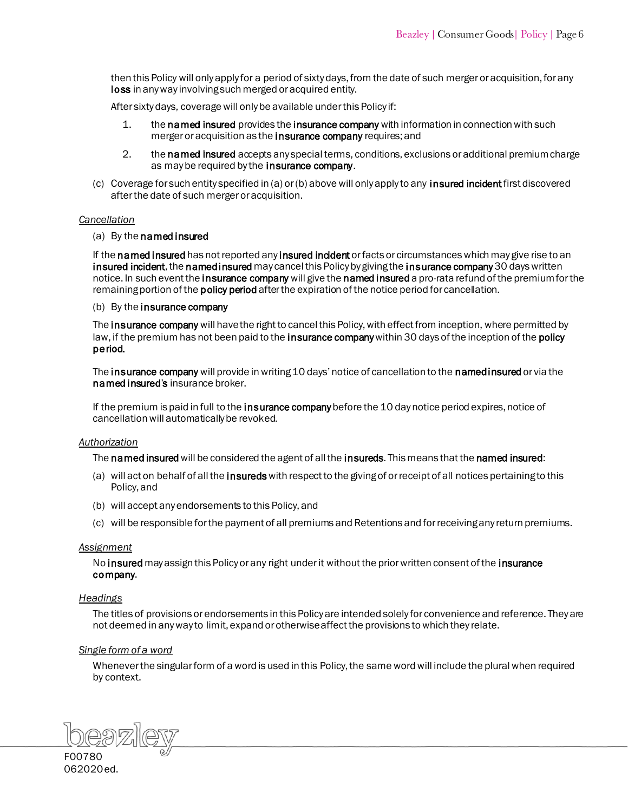then this Policy will only apply for a period of sixty days, from the date of such merger or acquisition, for any [loss in](#page-9-24) any way involving such merged or acquired entity.

After sixty days, coverage will only be available under this Policy if:

- 1. t[he named insured p](#page-10-6)rovides the insurance company with information in connection with such merger or acquisition as th[e insurance company requ](#page-9-22)ires; and
- 2. the named insured accepts any special terms, conditions, exclusions or additional premium charge as may be required by the **insurance company.**
- (c) Coverage for such entity specified in (a) or (b) above will only apply to any **[insured incident](#page-9-29)** first discovered after the date of such merger or acquisition.

#### *Cancellation*

#### (a) [By the named](#page-10-6) insured

If the named insured has not reported an[y insured incident](#page-9-25) or facts or circumstances which may give rise to an [insured incident,](#page-9-29) the named insured may cancel this Policy by giving the insurance company 30 days written notice. In such event the *insurance company* will give the named [insured](#page-10-6) a pro-rata refund of the premium for the remaining portion of the **policy period** after the expiration of the notice period for cancellation.

# (b) By the insurance company

The insurance company will have the right to cancel this Policy, with effect from inception, where permitted by law, if the premium has not been paid to the **insurance company** within 30 days of the inception of the **policy** [period.](#page-10-12) 

Th[e insurance company](#page-9-22) will provide in writing 10 days' notice of cancellation to the [namedinsured](#page-10-6) or via the named [insured](#page-10-6)'s insurance broker.

If the premium is paid in full to th[e insurance company](#page-9-22) before the 10 day notice period expires, notice of cancellation will automatically be revoked.

#### *Authorization*

The named insured will be co[nsidered the agent of all the insureds.](#page-9-30) This means that the named insured:

- (a) will act on behalf of all the insureds with respect to the giving of or receipt of all notices pertaining to this Policy, and
- (b) will accept any endorsements to this Policy, and
- (c) will be responsible for the payment of all premiums and Retentions and for receiving any return premiums.

#### *Assignment*

N[o insured](#page-9-30) may assign this Policy or any right under it without the prior written consent of the insurance [company.](#page-9-22)

# *Headings*

The titles of provisions or endorsements in this Policy are intended solely for convenience and reference. They are not deemed in any way to limit, expand or otherwise affect the provisions to which they relate.

# *Single form of a word*

Whenever the singular form of a word is used in this Policy, the same word will include the plural when required by context.

F00780 062020ed.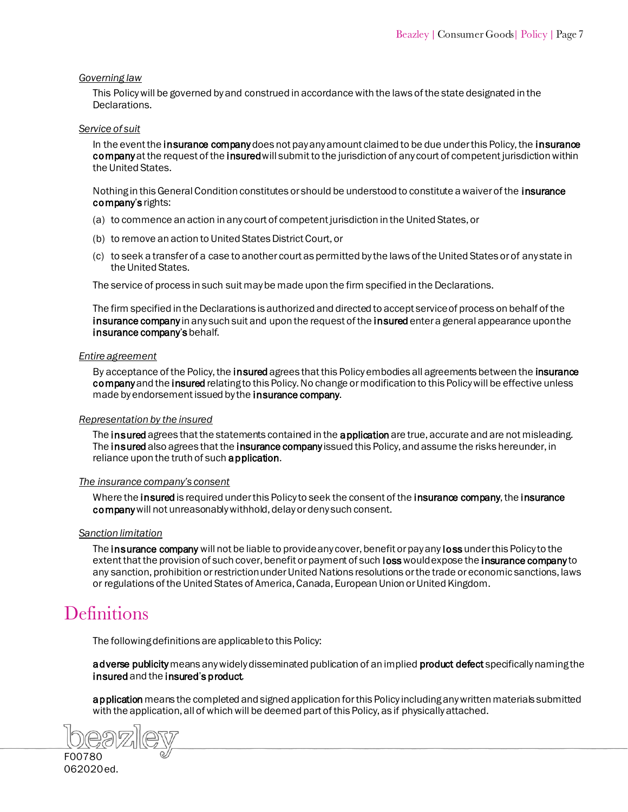# *Governing law*

This Policy will be governed by and construed in accordance with the laws of the state designated in the Declarations.

#### *Service of suit*

In the event the [insurance company](#page-9-22) does not pay any amount claimed to be due under this Policy, the insurance company at the request of the insured will submit to the jurisdiction of any court of competent jurisdiction within the United States.

[Nothing in this Genera](#page-9-5)l Condition constitutes or should be understood to constitute a waiver of the insurance company's rights:

- (a) to commence an action in any court of competent jurisdiction in the United States, or
- (b) to remove an action to United States District Court, or
- (c) to seek a transfer of a case to another court as permitted by the laws of the United States or of any state in the United States.

The service of process in such suit may be made upon the firm specified in the Declarations.

The firm specified in the Declarations is authorized and directed to accept service of process on behalf of the insurance company in any such suit and upon the request of th[e insured](#page-9-23) enter a general appearance upon the insurance company's behalf.

#### *Entire agreement*

By acceptance of [the Policy, the insured](#page-9-30) agrees that this Policy embodies all agreements between the insurance [company](#page-9-22) and the insured relating to this Policy. No change or modification to this Policy will be effective unless made by endorsement issued by the **insurance company**.

# *Representation by the insured*

Th[e insured](#page-9-30) agrees that the statements contained in th[e application](#page-8-6) are true, accurate and are not misleading. The insured also agrees that th[e insurance company](#page-9-22) issued this Policy, and assume the risks hereunder, in reliance upon the truth of suc[h application.](#page-8-6)

# *The insurance company's consent*

Where the [insured](#page-9-23) is required under this Policy to seek the consent of the insurance company, the insurance [companywi](#page-9-22)ll not unreasonably withhold, delay or deny such consent.

# *Sanction limitation*

Th[e insurance company](#page-9-22) will not be liable to provide any cover, ben[efit or pay any loss](#page-9-24) under this Policy to the extent that the provision of such cover, benefit or payment of such loss would expose the [insurance company](#page-9-5) to any sanction, prohibition or restriction under United Nations resolutions or the trade or economic sanctions, laws or regulations of the United States of America, Canada, European Union or United Kingdom.

# <span id="page-7-0"></span>**Definitions**

The following definitions are applicable to this Policy:

adverse publicity means any widely disseminated publication of an implie[d product defect](#page-10-11) specifically naming the [insured](#page-9-30) and the insured's [product.](#page-9-28) 

application means the completed and signed application for this Policy including any written materials submitted with the application, all of which will be deemed part of this Policy, as if physically attached.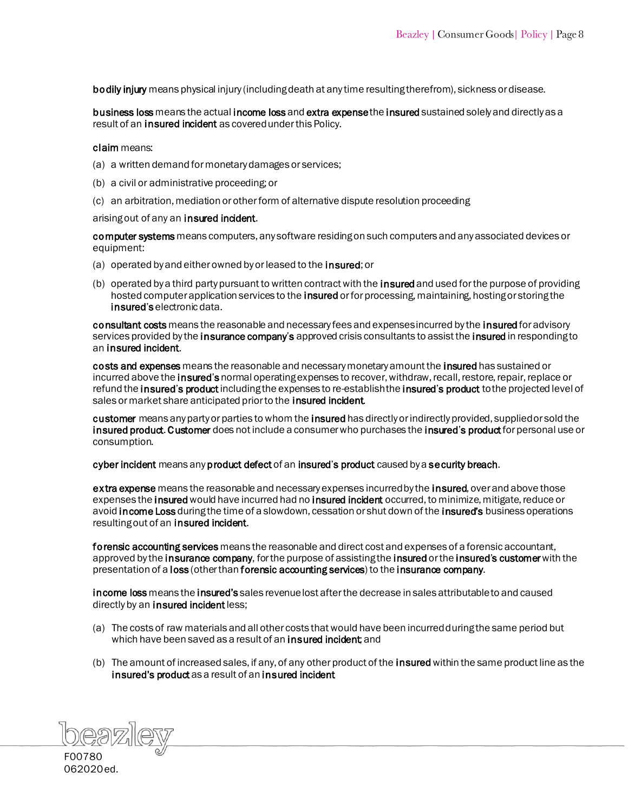<span id="page-8-14"></span><span id="page-8-10"></span><span id="page-8-6"></span><span id="page-8-3"></span><span id="page-8-0"></span>bodily injury means physical injury (including death at any time resulting therefrom), sickness or disease.

<span id="page-8-12"></span>business loss means the actu[al income loss](#page-9-31) and extra expense th[e insured](#page-9-30) sustained solely and directly as a result of a[n insured incident a](#page-9-25)s covered under this Policy.

#### claim means:

- <span id="page-8-17"></span><span id="page-8-2"></span>(a) a written demand for monetary damages or services;
- (b) a civil or administrative proceeding; or
- (c) an arbitration, mediation or other form of alternative dispute resolution proceeding

#### <span id="page-8-16"></span>arising out of any an **insured incident**.

<span id="page-8-15"></span>computer systems means computers, any software residing on such computers and any associated devices or equipment:

- (a) operated by and either owned by or leased to the insured; or
- (b) operated by a third party pursuant to written contract with the **insured** and used for the purpose of providing hosted computer application services to the insured or for processing, maintaining, hosting or storing the [insured](#page-9-23)'s electronic data.

<span id="page-8-5"></span><span id="page-8-4"></span>consultant costs means the reasonable and necessary fees and expenses incurr[ed by the insured](#page-9-30) for advisory services provided by th[e insurance company](#page-9-22)'s approved crisis consultants to assist the insured in responding to [an insured incident.](#page-9-25) 

<span id="page-8-11"></span>costs and expenses means the reasonable and necessary monetary amount the insured has sustained or incurred above the [insured](#page-9-23)'s normal operating expenses to recover, withdraw, recall, restore, repair, replace or refund the insured'[s product](#page-9-28) including the expenses to re-establish the insured's product to the projected level of sales or market share anticipated prior to the **insured incident**.

<span id="page-8-8"></span>customer means any party or parties to whom th[e insured h](#page-9-33)as directly [or indirectly provided, su](#page-9-32)pplied or sold the insured [product. C](#page-9-32)ustomer does not include a consumer who purchases the insured's product for personal use or consumption.

<span id="page-8-9"></span><span id="page-8-1"></span>cyber incident means a[ny product defect o](#page-10-13)f an insured'[s product c](#page-9-28)aused by a [security breach.](#page-10-14)

<span id="page-8-7"></span>extra expense means the reasonable and necessary expenses incurred by the [insured, over](#page-9-27) and above those expenses the insured would have incurred had no [insured incident o](#page-9-25)ccurred, to minimize, mitigate, reduce or avoid **income Loss** during the time of a slowdown, cessation or shut down of the **insured's** business operations resulting out of an [insured incident.](#page-9-25) 

forensic accounting services means the reasonable and direct cost and expenses of a forensic accountant, approved by the [insurance company,](#page-9-22) for the purpose of assisting th[e insured](#page-9-33) or the insured's customer with the presentation of a [loss](#page-9-35) (other than forensic accounting services) to the [insurance company.](#page-9-22)

income loss means the [insured's](#page-9-23) sales revenue lost after the decrease in sales attributable to and caused directly by an [insured incident](#page-9-25) less;

- (a) The costs of raw materials and all other costs that would have been incurred during the same period but which have been saved as a result of an **insured incident** and
- (b) The amount of increased sales, if any, of any other product of the **insured** within the same product line as the [insured's product](#page-9-32) as a result of an insured incident

<span id="page-8-13"></span>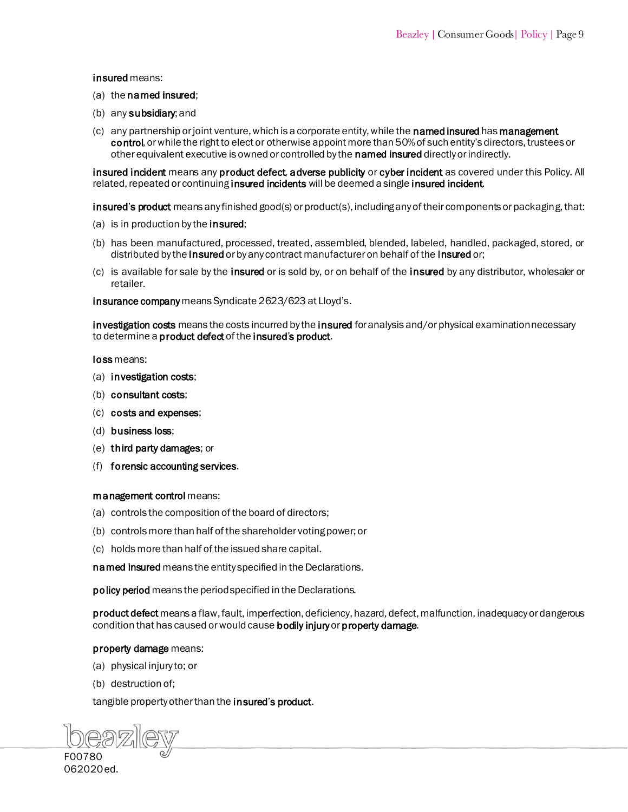#### <span id="page-9-34"></span><span id="page-9-33"></span><span id="page-9-31"></span><span id="page-9-30"></span><span id="page-9-27"></span><span id="page-9-26"></span><span id="page-9-23"></span><span id="page-9-21"></span><span id="page-9-18"></span><span id="page-9-17"></span><span id="page-9-16"></span><span id="page-9-15"></span><span id="page-9-13"></span><span id="page-9-12"></span><span id="page-9-4"></span><span id="page-9-3"></span>insured means:

- <span id="page-9-37"></span>(a) the [named insured](#page-10-6);
- (b) an[y subsidiary; a](#page-10-10)nd
- $(c)$  any partnership or joint venture, which is a corporate entity, while the **named insured** has **management** [control](#page-9-36), or while the right to elect or otherwise appoint more than 50% of such entity's directors, trustees or other equivalent executive is owned or controlled by the [named insured](#page-10-6) directly or indirectly.

<span id="page-9-29"></span><span id="page-9-25"></span><span id="page-9-11"></span><span id="page-9-10"></span><span id="page-9-7"></span>insured incident means any [product defect,](#page-10-13) [adverse publicity o](#page-8-10)[r cyber incident a](#page-8-9)s covered under this Policy. All related, repeated or continuing insured incidents will be deemed a single insured incident.

<span id="page-9-32"></span><span id="page-9-28"></span><span id="page-9-6"></span><span id="page-9-1"></span>insured's product means any finished good(s) or product(s), including any of their components or packaging, that:

- (a) is in production by the **insured**;
- (b) has been manufa[ctured, processed](#page-9-33), treated, assembled, blended, labeled, handled, packaged, stored, or distributed by the insured or by any contract manufacturer on behal[f of the insured](#page-9-33) or:
- <span id="page-9-19"></span><span id="page-9-5"></span>(c) is available for sale by the insured or is sold by, or on behalf of the insured by any distributor, wholesaler or retailer.

<span id="page-9-22"></span><span id="page-9-20"></span><span id="page-9-14"></span><span id="page-9-8"></span><span id="page-9-2"></span>insurance company means Syndicate 2623/623 at Lloyd's.

<span id="page-9-38"></span>investigation costs means the costs incurred by th[e insured](#page-9-37) for analysis and/or physical examination necessary to determine [a product defect](#page-10-13) of the insured's product.

<span id="page-9-35"></span><span id="page-9-24"></span><span id="page-9-9"></span><span id="page-9-0"></span>loss means:

- (a) [investigation costs;](#page-9-38)
- (b) [consultant costs;](#page-8-5)
- (c) [costs and expenses;](#page-8-11)
- (d) [business loss;](#page-8-12)
- (e) [third party damages; o](#page-10-15)r
- (f) [forensic accounting services.](#page-8-13)

#### <span id="page-9-36"></span>management control means:

- (a) controls the composition of the board of directors;
- (b) controls more than half of the shareholder voting power; or
- (c) holds more than half of the issued share capital.

named insured means the entity specified in the Declarations.

policy period means the period specified in the Declarations.

product defect means a flaw, fault, imperfection, deficiency, hazard, defect, malfunction, inadequacy or dangerous condition that has caused or would caus[e bodily injury](#page-8-14) or property damage.

#### property damage means:

- (a) physical injury to; or
- (b) destruction of;

tangible property other than the insured'[s product.](#page-9-32)